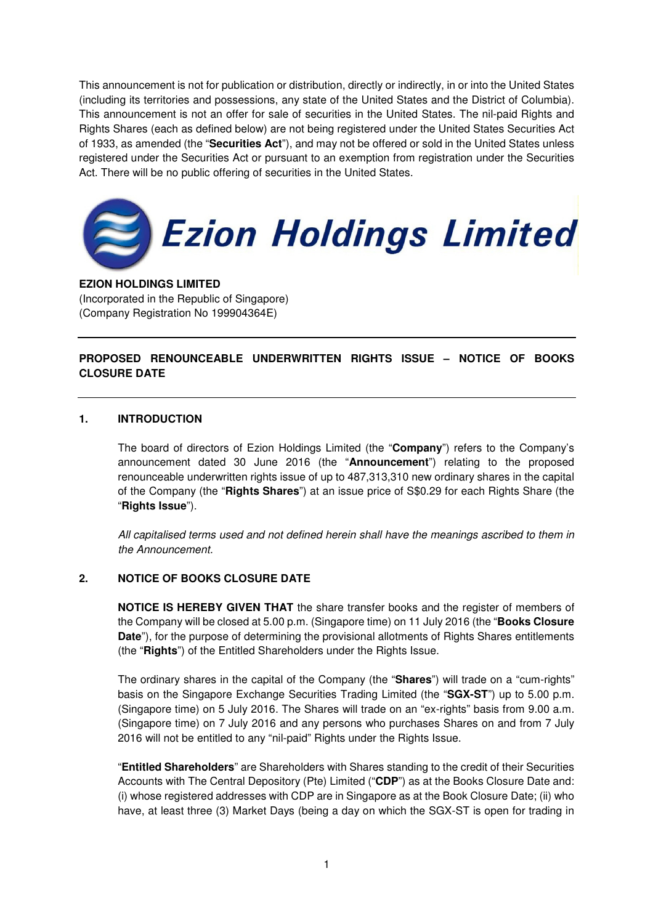This announcement is not for publication or distribution, directly or indirectly, in or into the United States (including its territories and possessions, any state of the United States and the District of Columbia). This announcement is not an offer for sale of securities in the United States. The nil-paid Rights and Rights Shares (each as defined below) are not being registered under the United States Securities Act of 1933, as amended (the "**Securities Act**"), and may not be offered or sold in the United States unless registered under the Securities Act or pursuant to an exemption from registration under the Securities Act. There will be no public offering of securities in the United States.



#### **EZION HOLDINGS LIMITED**

(Incorporated in the Republic of Singapore) (Company Registration No 199904364E)

# **PROPOSED RENOUNCEABLE UNDERWRITTEN RIGHTS ISSUE – NOTICE OF BOOKS CLOSURE DATE**

#### **1. INTRODUCTION**

The board of directors of Ezion Holdings Limited (the "**Company**") refers to the Company's announcement dated 30 June 2016 (the "**Announcement**") relating to the proposed renounceable underwritten rights issue of up to 487,313,310 new ordinary shares in the capital of the Company (the "**Rights Shares**") at an issue price of S\$0.29 for each Rights Share (the "**Rights Issue**").

All capitalised terms used and not defined herein shall have the meanings ascribed to them in the Announcement.

## **2. NOTICE OF BOOKS CLOSURE DATE**

**NOTICE IS HEREBY GIVEN THAT** the share transfer books and the register of members of the Company will be closed at 5.00 p.m. (Singapore time) on 11 July 2016 (the "**Books Closure Date**"), for the purpose of determining the provisional allotments of Rights Shares entitlements (the "**Rights**") of the Entitled Shareholders under the Rights Issue.

The ordinary shares in the capital of the Company (the "**Shares**") will trade on a "cum-rights" basis on the Singapore Exchange Securities Trading Limited (the "**SGX-ST**") up to 5.00 p.m. (Singapore time) on 5 July 2016. The Shares will trade on an "ex-rights" basis from 9.00 a.m. (Singapore time) on 7 July 2016 and any persons who purchases Shares on and from 7 July 2016 will not be entitled to any "nil-paid" Rights under the Rights Issue.

"**Entitled Shareholders**" are Shareholders with Shares standing to the credit of their Securities Accounts with The Central Depository (Pte) Limited ("**CDP**") as at the Books Closure Date and: (i) whose registered addresses with CDP are in Singapore as at the Book Closure Date; (ii) who have, at least three (3) Market Days (being a day on which the SGX-ST is open for trading in